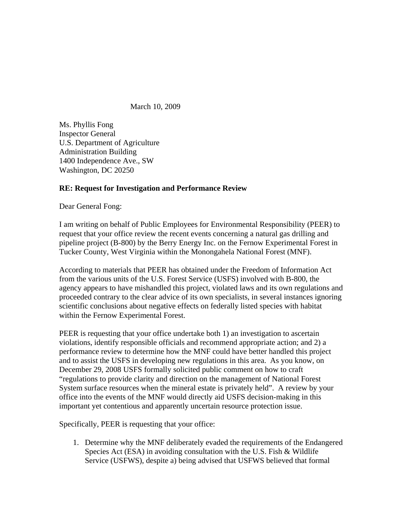March 10, 2009

Ms. Phyllis Fong Inspector General U.S. Department of Agriculture Administration Building 1400 Independence Ave., SW Washington, DC 20250

## **RE: Request for Investigation and Performance Review**

Dear General Fong:

I am writing on behalf of Public Employees for Environmental Responsibility (PEER) to request that your office review the recent events concerning a natural gas drilling and pipeline project (B-800) by the Berry Energy Inc. on the Fernow Experimental Forest in Tucker County, West Virginia within the Monongahela National Forest (MNF).

According to materials that PEER has obtained under the Freedom of Information Act from the various units of the U.S. Forest Service (USFS) involved with B-800, the agency appears to have mishandled this project, violated laws and its own regulations and proceeded contrary to the clear advice of its own specialists, in several instances ignoring scientific conclusions about negative effects on federally listed species with habitat within the Fernow Experimental Forest.

PEER is requesting that your office undertake both 1) an investigation to ascertain violations, identify responsible officials and recommend appropriate action; and 2) a performance review to determine how the MNF could have better handled this project and to assist the USFS in developing new regulations in this area. As you know, on December 29, 2008 USFS formally solicited public comment on how to craft "regulations to provide clarity and direction on the management of National Forest System surface resources when the mineral estate is privately held". A review by your office into the events of the MNF would directly aid USFS decision-making in this important yet contentious and apparently uncertain resource protection issue.

Specifically, PEER is requesting that your office:

1. Determine why the MNF deliberately evaded the requirements of the Endangered Species Act (ESA) in avoiding consultation with the U.S. Fish & Wildlife Service (USFWS), despite a) being advised that USFWS believed that formal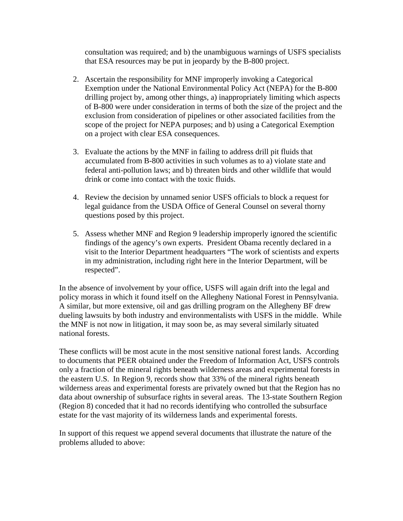consultation was required; and b) the unambiguous warnings of USFS specialists that ESA resources may be put in jeopardy by the B-800 project.

- 2. Ascertain the responsibility for MNF improperly invoking a Categorical Exemption under the National Environmental Policy Act (NEPA) for the B-800 drilling project by, among other things, a) inappropriately limiting which aspects of B-800 were under consideration in terms of both the size of the project and the exclusion from consideration of pipelines or other associated facilities from the scope of the project for NEPA purposes; and b) using a Categorical Exemption on a project with clear ESA consequences.
- 3. Evaluate the actions by the MNF in failing to address drill pit fluids that accumulated from B-800 activities in such volumes as to a) violate state and federal anti-pollution laws; and b) threaten birds and other wildlife that would drink or come into contact with the toxic fluids.
- 4. Review the decision by unnamed senior USFS officials to block a request for legal guidance from the USDA Office of General Counsel on several thorny questions posed by this project.
- 5. Assess whether MNF and Region 9 leadership improperly ignored the scientific findings of the agency's own experts. President Obama recently declared in a visit to the Interior Department headquarters "The work of scientists and experts in my administration, including right here in the Interior Department, will be respected".

In the absence of involvement by your office, USFS will again drift into the legal and policy morass in which it found itself on the Allegheny National Forest in Pennsylvania. A similar, but more extensive, oil and gas drilling program on the Allegheny BF drew dueling lawsuits by both industry and environmentalists with USFS in the middle. While the MNF is not now in litigation, it may soon be, as may several similarly situated national forests.

These conflicts will be most acute in the most sensitive national forest lands. According to documents that PEER obtained under the Freedom of Information Act, USFS controls only a fraction of the mineral rights beneath wilderness areas and experimental forests in the eastern U.S. In Region 9, records show that 33% of the mineral rights beneath wilderness areas and experimental forests are privately owned but that the Region has no data about ownership of subsurface rights in several areas. The 13-state Southern Region (Region 8) conceded that it had no records identifying who controlled the subsurface estate for the vast majority of its wilderness lands and experimental forests.

In support of this request we append several documents that illustrate the nature of the problems alluded to above: